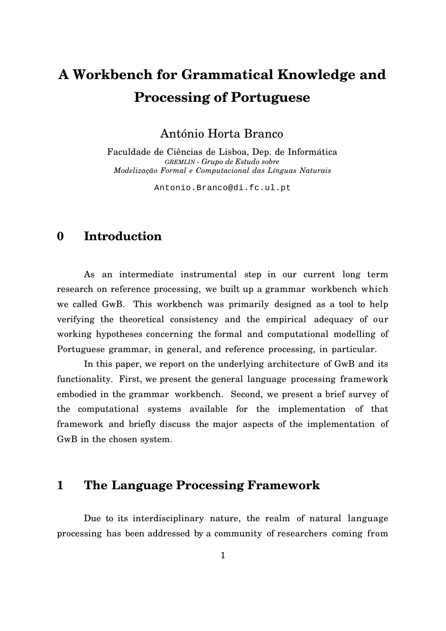# **A Workbench for Grammatical Knowledge and Processing of Portuguese**

António Horta Branco

Faculdade de Ciências de Lisboa, Dep. de Informática *GREMLIN - Grupo de Estudo sobre Modelização Formal e Computacional das Línguas Naturais*

Antonio.Branco@di.fc.ul.pt

# **0 Introduction**

As an intermediate instrumental step in our current long term research on reference processing, we built up a grammar workbench which we called GwB. This workbench was primarily designed as a tool to help verifying the theoretical consistency and the empirical adequacy of our working hypotheses concerning the formal and computational modelling of Portuguese grammar, in general, and reference processing, in particular.

In this paper, we report on the underlying architecture of GwB and its functionality. First, we present the general language processing framework embodied in the grammar workbench. Second, we present a brief survey of the computational systems available for the implementation of that framework and briefly discuss the major aspects of the implementation of GwB in the chosen system.

# **1 The Language Processing Framework**

Due to its interdisciplinary nature, the realm of natural language processing has been addressed by a community of researchers coming from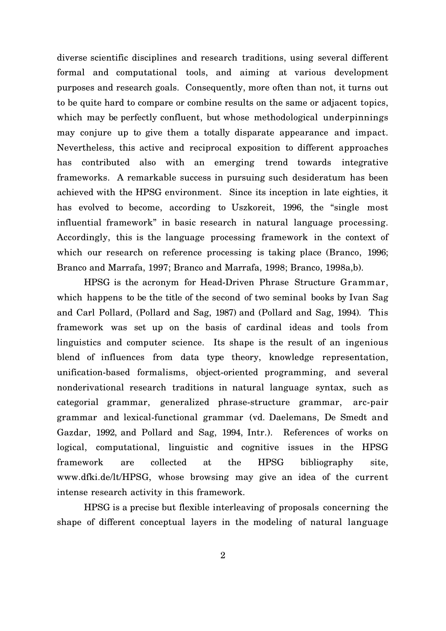diverse scientific disciplines and research traditions, using several different formal and computational tools, and aiming at various development purposes and research goals. Consequently, more often than not, it turns out to be quite hard to compare or combine results on the same or adjacent topics, which may be perfectly confluent, but whose methodological underpinnings may conjure up to give them a totally disparate appearance and impact. Nevertheless, this active and reciprocal exposition to different approaches has contributed also with an emerging trend towards integrative frameworks. A remarkable success in pursuing such desideratum has been achieved with the HPSG environment. Since its inception in late eighties, it has evolved to become, according to Uszkoreit, 1996, the "single most influential framework" in basic research in natural language processing. Accordingly, this is the language processing framework in the context of which our research on reference processing is taking place (Branco, 1996; Branco and Marrafa, 1997; Branco and Marrafa, 1998; Branco, 1998a,b).

HPSG is the acronym for Head-Driven Phrase Structure Grammar, which happens to be the title of the second of two seminal books by Ivan Sag and Carl Pollard, (Pollard and Sag, 1987) and (Pollard and Sag, 1994). This framework was set up on the basis of cardinal ideas and tools from linguistics and computer science. Its shape is the result of an ingenious blend of influences from data type theory, knowledge representation, unification-based formalisms, object-oriented programming, and several nonderivational research traditions in natural language syntax, such as categorial grammar, generalized phrase-structure grammar, arc-pair grammar and lexical-functional grammar (vd. Daelemans, De Smedt and Gazdar, 1992, and Pollard and Sag, 1994, Intr.). References of works on logical, computational, linguistic and cognitive issues in the HPSG framework are collected at the HPSG bibliography site, www.dfki.de/lt/HPSG, whose browsing may give an idea of the current intense research activity in this framework.

HPSG is a precise but flexible interleaving of proposals concerning the shape of different conceptual layers in the modeling of natural language

2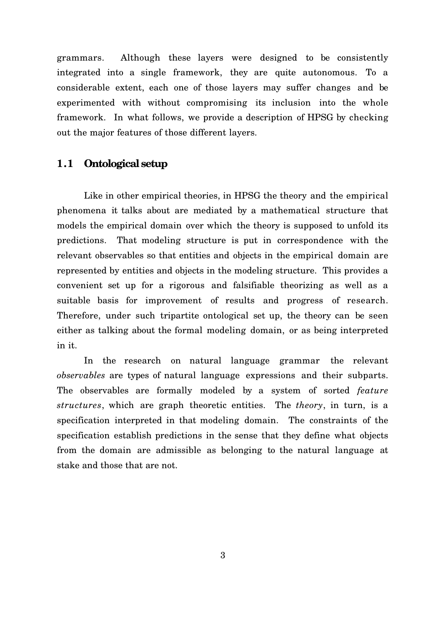grammars. Although these layers were designed to be consistently integrated into a single framework, they are quite autonomous. To a considerable extent, each one of those layers may suffer changes and be experimented with without compromising its inclusion into the whole framework. In what follows, we provide a description of HPSG by checking out the major features of those different layers.

## **1.1 Ontological setup**

Like in other empirical theories, in HPSG the theory and the empirical phenomena it talks about are mediated by a mathematical structure that models the empirical domain over which the theory is supposed to unfold its predictions. That modeling structure is put in correspondence with the relevant observables so that entities and objects in the empirical domain are represented by entities and objects in the modeling structure. This provides a convenient set up for a rigorous and falsifiable theorizing as well as a suitable basis for improvement of results and progress of research. Therefore, under such tripartite ontological set up, the theory can be seen either as talking about the formal modeling domain, or as being interpreted in it.

In the research on natural language grammar the relevant *observables* are types of natural language expressions and their subparts. The observables are formally modeled by a system of sorted *feature structures*, which are graph theoretic entities. The *theory*, in turn, is a specification interpreted in that modeling domain. The constraints of the specification establish predictions in the sense that they define what objects from the domain are admissible as belonging to the natural language at stake and those that are not.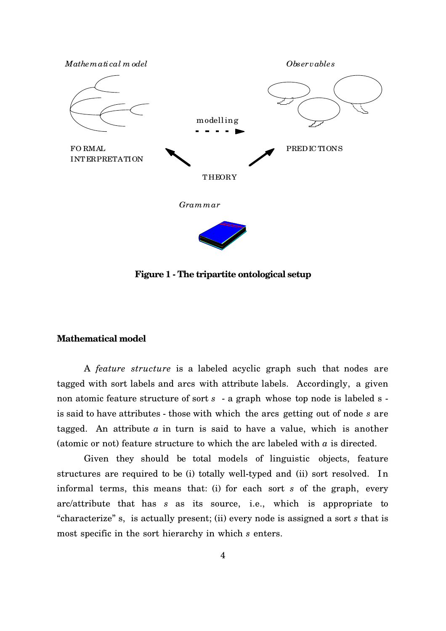

**Figure 1 - The tripartite ontological setup**

#### **Mathematical model**

A *feature structure* is a labeled acyclic graph such that nodes are tagged with sort labels and arcs with attribute labels. Accordingly, a given non atomic feature structure of sort *s* - a graph whose top node is labeled s is said to have attributes - those with which the arcs getting out of node *s* are tagged. An attribute  $a$  in turn is said to have a value, which is another (atomic or not) feature structure to which the arc labeled with  $a$  is directed.

Given they should be total models of linguistic objects, feature structures are required to be (i) totally well-typed and (ii) sort resolved. In informal terms, this means that: (i) for each sort *s* of the graph, every arc/attribute that has *s* as its source, i.e., which is appropriate to "characterize" s, is actually present; (ii) every node is assigned a sort *s* that is most specific in the sort hierarchy in which *s* enters.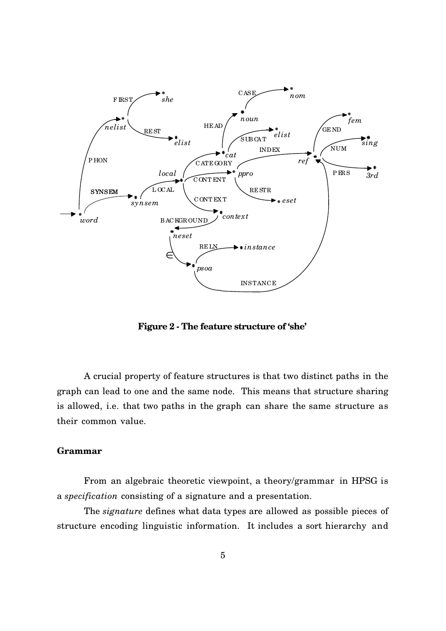

**Figure 2 - The feature structure of 'she'**

A crucial property of feature structures is that two distinct paths in the graph can lead to one and the same node. This means that structure sharing is allowed, i.e. that two paths in the graph can share the same structure as their common value.

#### **Grammar**

From an algebraic theoretic viewpoint, a theory/grammar in HPSG is a *specification* consisting of a signature and a presentation.

The *signature* defines what data types are allowed as possible pieces of structure encoding linguistic information. It includes a sort hierarchy and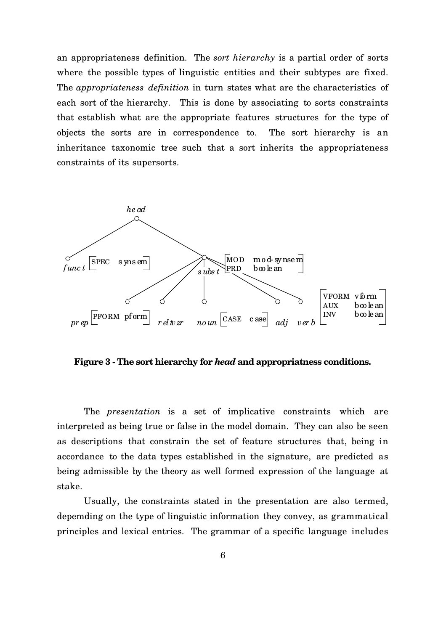an appropriateness definition. The *sort hierarchy* is a partial order of sorts where the possible types of linguistic entities and their subtypes are fixed. The *appropriateness definition* in turn states what are the characteristics of each sort of the hierarchy. This is done by associating to sorts constraints that establish what are the appropriate features structures for the type of objects the sorts are in correspondence to. The sort hierarchy is an inheritance taxonomic tree such that a sort inherits the appropriateness constraints of its supersorts.



**Figure 3 - The sort hierarchy for** *head* **and appropriatness conditions.**

The *presentation* is a set of implicative constraints which are interpreted as being true or false in the model domain. They can also be seen as descriptions that constrain the set of feature structures that, being in accordance to the data types established in the signature, are predicted as being admissible by the theory as well formed expression of the language at stake.

Usually, the constraints stated in the presentation are also termed, depemding on the type of linguistic information they convey, as grammatical principles and lexical entries. The grammar of a specific language includes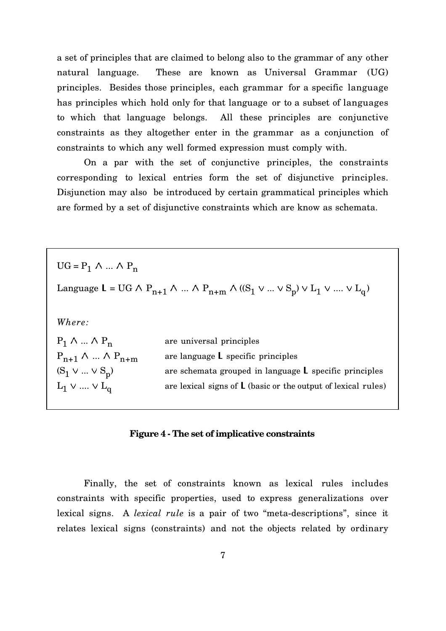a set of principles that are claimed to belong also to the grammar of any other natural language. These are known as Universal Grammar (UG) principles. Besides those principles, each grammar for a specific language has principles which hold only for that language or to a subset of languages to which that language belongs. All these principles are conjunctive constraints as they altogether enter in the grammar as a conjunction of constraints to which any well formed expression must comply with.

On a par with the set of conjunctive principles, the constraints corresponding to lexical entries form the set of disjunctive principles. Disjunction may also be introduced by certain grammatical principles which are formed by a set of disjunctive constraints which are know as schemata.

 $UG = P_1 \wedge ... \wedge P_n$ Language  $L = UG \wedge P_{n+1} \wedge ... \wedge P_{n+m} \wedge ((S_1 \vee ... \vee S_p) \vee L_1 \vee ... \vee L_q)$ *Where:*  $P_1 \wedge ... \wedge P_n$ are universal principles  $P_{n+1} \wedge ... \wedge P_{n+m}$  are language L specific principles  $(S_1 \vee ... \vee S_p)$ are schemata grouped in language  $L$  specific principles  $\text{L}_1 \vee ... \vee \text{L}_q$ are lexical signs of L (basic or the output of lexical rules)

#### **Figure 4 - The set of implicative constraints**

Finally, the set of constraints known as lexical rules includes constraints with specific properties, used to express generalizations over lexical signs. A *lexical rule* is a pair of two "meta-descriptions", since it relates lexical signs (constraints) and not the objects related by ordinary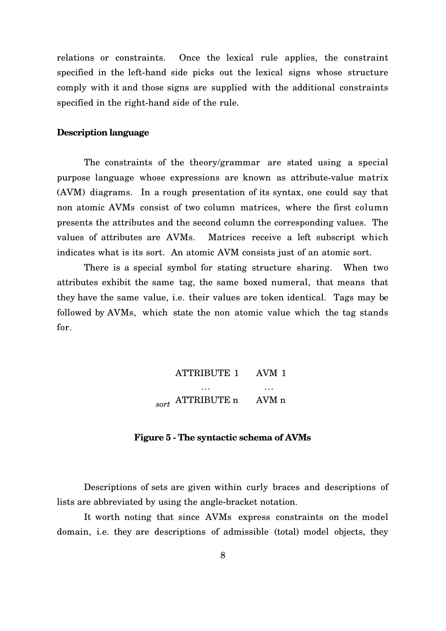relations or constraints. Once the lexical rule applies, the constraint specified in the left-hand side picks out the lexical signs whose structure comply with it and those signs are supplied with the additional constraints specified in the right-hand side of the rule.

#### **Description language**

The constraints of the theory/grammar are stated using a special purpose language whose expressions are known as attribute-value matrix (AVM) diagrams. In a rough presentation of its syntax, one could say that non atomic AVMs consist of two column matrices, where the first column presents the attributes and the second column the corresponding values. The values of attributes are AVMs. Matrices receive a left subscript which indicates what is its sort. An atomic AVM consists just of an atomic sort.

There is a special symbol for stating structure sharing. When two attributes exhibit the same tag, the same boxed numeral, that means that they have the same value, i.e. their values are token identical. Tags may be followed by AVMs, which state the non atomic value which the tag stands for.

$$
\begin{bmatrix} \text{ATTRIBUTE 1} & \text{AVM 1} \\ \dots & \dots \\ \text{ATTRIBUTE n} & \text{AVM n} \end{bmatrix}
$$

**Figure 5 - The syntactic schema of AVMs**

Descriptions of sets are given within curly braces and descriptions of lists are abbreviated by using the angle-bracket notation.

It worth noting that since AVMs express constraints on the model domain, i.e. they are descriptions of admissible (total) model objects, they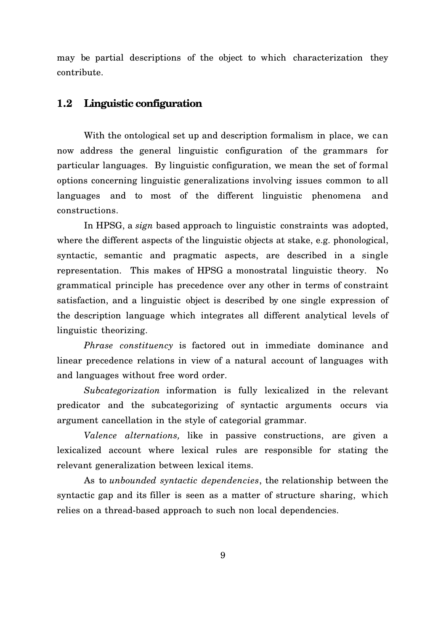may be partial descriptions of the object to which characterization they contribute.

## **1.2 Linguistic configuration**

With the ontological set up and description formalism in place, we can now address the general linguistic configuration of the grammars for particular languages. By linguistic configuration, we mean the set of formal options concerning linguistic generalizations involving issues common to all languages and to most of the different linguistic phenomena and constructions.

In HPSG, a *sign* based approach to linguistic constraints was adopted, where the different aspects of the linguistic objects at stake, e.g. phonological, syntactic, semantic and pragmatic aspects, are described in a single representation. This makes of HPSG a monostratal linguistic theory. No grammatical principle has precedence over any other in terms of constraint satisfaction, and a linguistic object is described by one single expression of the description language which integrates all different analytical levels of linguistic theorizing.

*Phrase constituency* is factored out in immediate dominance and linear precedence relations in view of a natural account of languages with and languages without free word order.

*Subcategorization* information is fully lexicalized in the relevant predicator and the subcategorizing of syntactic arguments occurs via argument cancellation in the style of categorial grammar.

*Valence alternations,* like in passive constructions, are given a lexicalized account where lexical rules are responsible for stating the relevant generalization between lexical items.

As to *unbounded syntactic dependencies*, the relationship between the syntactic gap and its filler is seen as a matter of structure sharing, which relies on a thread-based approach to such non local dependencies.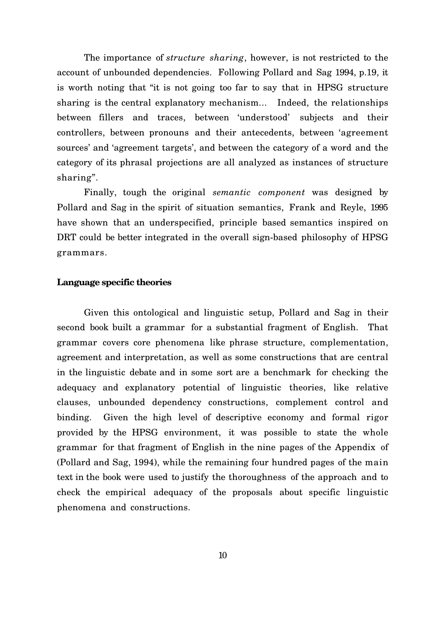The importance of *structure sharing*, however, is not restricted to the account of unbounded dependencies. Following Pollard and Sag 1994, p.19, it is worth noting that "it is not going too far to say that in HPSG structure sharing is the central explanatory mechanism... Indeed, the relationships between fillers and traces, between 'understood' subjects and their controllers, between pronouns and their antecedents, between 'agreement sources' and 'agreement targets', and between the category of a word and the category of its phrasal projections are all analyzed as instances of structure sharing".

Finally, tough the original *semantic component* was designed by Pollard and Sag in the spirit of situation semantics, Frank and Reyle, 1995 have shown that an underspecified, principle based semantics inspired on DRT could be better integrated in the overall sign-based philosophy of HPSG grammars.

#### **Language specific theories**

Given this ontological and linguistic setup, Pollard and Sag in their second book built a grammar for a substantial fragment of English. That grammar covers core phenomena like phrase structure, complementation, agreement and interpretation, as well as some constructions that are central in the linguistic debate and in some sort are a benchmark for checking the adequacy and explanatory potential of linguistic theories, like relative clauses, unbounded dependency constructions, complement control and binding. Given the high level of descriptive economy and formal rigor provided by the HPSG environment, it was possible to state the whole grammar for that fragment of English in the nine pages of the Appendix of (Pollard and Sag, 1994), while the remaining four hundred pages of the main text in the book were used to justify the thoroughness of the approach and to check the empirical adequacy of the proposals about specific linguistic phenomena and constructions.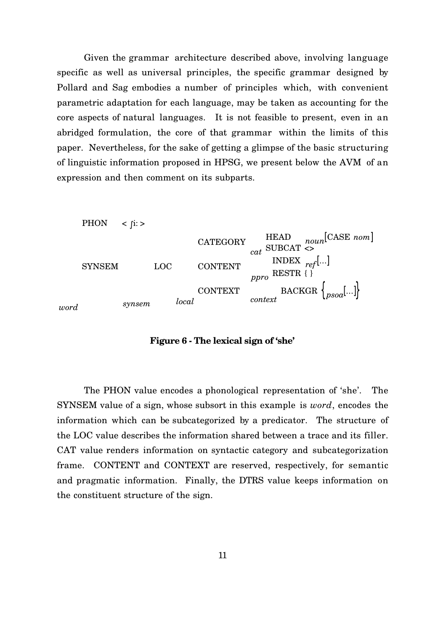Given the grammar architecture described above, involving language specific as well as universal principles, the specific grammar designed by Pollard and Sag embodies a number of principles which, with convenient parametric adaptation for each language, may be taken as accounting for the core aspects of natural languages. It is not feasible to present, even in an abridged formulation, the core of that grammar within the limits of this paper. Nevertheless, for the sake of getting a glimpse of the basic structuring of linguistic information proposed in HPSG, we present below the AVM of an expression and then comment on its subparts.



**Figure 6 - The lexical sign of 'she'**

The PHON value encodes a phonological representation of 'she'. The SYNSEM value of a sign, whose subsort in this example is *word*, encodes the information which can be subcategorized by a predicator. The structure of the LOC value describes the information shared between a trace and its filler. CAT value renders information on syntactic category and subcategorization frame. CONTENT and CONTEXT are reserved, respectively, for semantic and pragmatic information. Finally, the DTRS value keeps information on the constituent structure of the sign.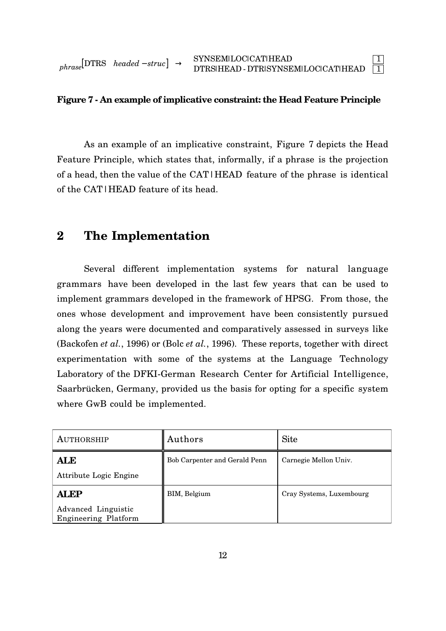$\overline{\phantom{a}}$  $\rfloor$ 

#### **Figure 7 - An example of implicative constraint: the Head Feature Principle**

As an example of an implicative constraint, Figure 7 depicts the Head Feature Principle, which states that, informally, if a phrase is the projection of a head, then the value of the CAT|HEAD feature of the phrase is identical of the CAT|HEAD feature of its head.

# **2 The Implementation**

Several different implementation systems for natural language grammars have been developed in the last few years that can be used to implement grammars developed in the framework of HPSG. From those, the ones whose development and improvement have been consistently pursued along the years were documented and comparatively assessed in surveys like (Backofen *et al.*, 1996) or (Bolc *et al.*, 1996). These reports, together with direct experimentation with some of the systems at the Language Technology Laboratory of the DFKI-German Research Center for Artificial Intelligence, Saarbrücken, Germany, provided us the basis for opting for a specific system where GwB could be implemented.

| AUTHORSHIP                                                        | Authors                       | <b>Site</b>              |
|-------------------------------------------------------------------|-------------------------------|--------------------------|
| <b>ALE</b><br>Attribute Logic Engine                              | Bob Carpenter and Gerald Penn | Carnegie Mellon Univ.    |
| <b>ALEP</b><br>Advanced Linguistic<br><b>Engineering Platform</b> | BIM, Belgium                  | Cray Systems, Luxembourg |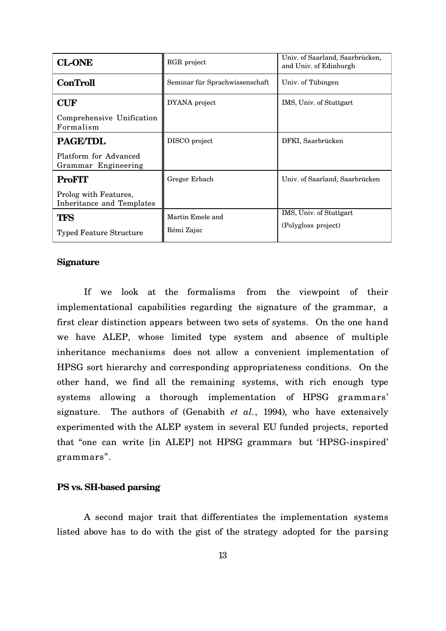| <b>CL-ONE</b>                                      | RGR project                    | Univ. of Saarland, Saarbrücken,<br>and Univ. of Edinburgh |
|----------------------------------------------------|--------------------------------|-----------------------------------------------------------|
| <b>ConTroll</b>                                    | Seminar für Sprachwissenschaft | Univ. of Tübingen                                         |
| <b>CUF</b>                                         | DYANA project                  | IMS, Univ. of Stuttgart                                   |
| Comprehensive Unification<br>Formalism             |                                |                                                           |
| <b>PAGE/TDL</b>                                    | DISCO project                  | DFKI, Saarbrücken                                         |
| Platform for Advanced<br>Grammar Engineering       |                                |                                                           |
| <b>ProFIT</b>                                      | Gregor Erbach                  | Univ. of Saarland, Saarbrücken                            |
| Prolog with Features,<br>Inheritance and Templates |                                |                                                           |
| <b>TFS</b>                                         | Martin Emele and               | IMS, Univ. of Stuttgart                                   |
| <b>Typed Feature Structure</b>                     | Rémi Zajac                     | (Polygloss project)                                       |

#### **Signature**

If we look at the formalisms from the viewpoint of their implementational capabilities regarding the signature of the grammar, a first clear distinction appears between two sets of systems. On the one hand we have ALEP, whose limited type system and absence of multiple inheritance mechanisms does not allow a convenient implementation of HPSG sort hierarchy and corresponding appropriateness conditions. On the other hand, we find all the remaining systems, with rich enough type systems allowing a thorough implementation of HPSG grammars' signature. The authors of (Genabith *et al.*, 1994), who have extensively experimented with the ALEP system in several EU funded projects, reported that "one can write [in ALEP] not HPSG grammars but 'HPSG-inspired' grammars".

#### **PS vs. SH-based parsing**

A second major trait that differentiates the implementation systems listed above has to do with the gist of the strategy adopted for the parsing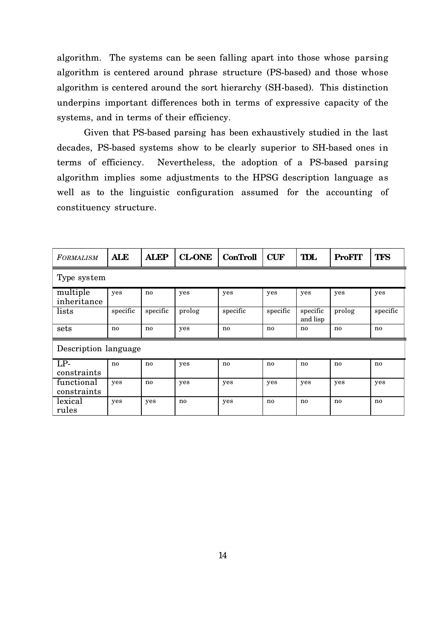algorithm. The systems can be seen falling apart into those whose parsing algorithm is centered around phrase structure (PS-based) and those whose algorithm is centered around the sort hierarchy (SH-based). This distinction underpins important differences both in terms of expressive capacity of the systems, and in terms of their efficiency.

Given that PS-based parsing has been exhaustively studied in the last decades, PS-based systems show to be clearly superior to SH-based ones in terms of efficiency. Nevertheless, the adoption of a PS-based parsing algorithm implies some adjustments to the HPSG description language as well as to the linguistic configuration assumed for the accounting of constituency structure.

| <b>FORMALISM</b>          | <b>ALE</b> | <b>ALEP</b> | <b>CL-ONE</b> | <b>ConTroll</b> | <b>CUF</b> | TDL                  | <b>ProFIT</b> | <b>TFS</b> |
|---------------------------|------------|-------------|---------------|-----------------|------------|----------------------|---------------|------------|
| Type system               |            |             |               |                 |            |                      |               |            |
| multiple<br>inheritance   | yes        | no          | yes           | yes             | yes        | yes                  | yes           | yes        |
| lists                     | specific   | specific    | prolog        | specific        | specific   | specific<br>and lisp | prolog        | specific   |
| sets                      | no         | no          | yes           | no              | no         | no                   | no            | no         |
| Description language      |            |             |               |                 |            |                      |               |            |
| $LP-$<br>constraints      | no         | no          | yes           | no              | no         | $\mathbf{n}$         | no            | no         |
| functional<br>constraints | yes        | no          | yes           | yes             | yes        | yes                  | yes           | yes        |
| lexical<br>rules          | yes        | yes         | no            | yes             | no         | no                   | no            | no         |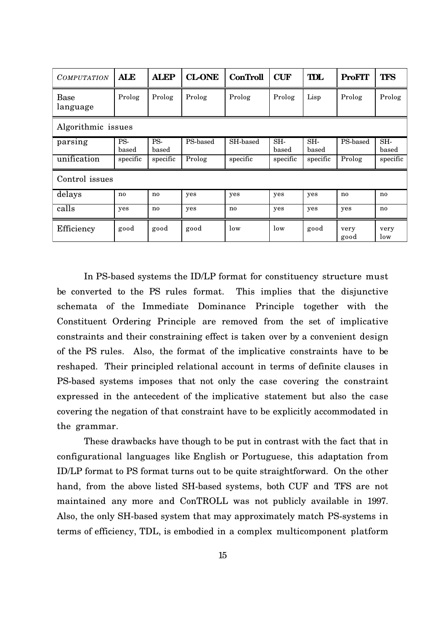| <i>COMPUTATION</i> | <b>ALE</b>         | <b>ALEP</b>  | <b>CL-ONE</b> | <b>ConTroll</b> | <b>CUF</b>   | TDL          | <b>ProFIT</b> | <b>TFS</b>   |
|--------------------|--------------------|--------------|---------------|-----------------|--------------|--------------|---------------|--------------|
| Base<br>language   | Prolog             | Prolog       | Prolog        | Prolog          | Prolog       | Lisp         | Prolog        | Prolog       |
|                    | Algorithmic issues |              |               |                 |              |              |               |              |
| parsing            | PS-<br>based       | PS-<br>based | PS-based      | SH-based        | SH-<br>based | SH-<br>based | PS-based      | SH-<br>based |
| unification        | specific           | specific     | Prolog        | specific        | specific     | specific     | Prolog        | specific     |
| Control issues     |                    |              |               |                 |              |              |               |              |
| delays             | no                 | no           | yes           | yes             | yes          | yes          | no            | no           |
| calls              | yes                | no           | yes           | no              | yes          | yes          | yes           | no           |
| Efficiency         | good               | good         | good          | low             | low          | good         | very<br>good  | very<br>low  |

In PS-based systems the ID/LP format for constituency structure must be converted to the PS rules format. This implies that the disjunctive schemata of the Immediate Dominance Principle together with the Constituent Ordering Principle are removed from the set of implicative constraints and their constraining effect is taken over by a convenient design of the PS rules. Also, the format of the implicative constraints have to be reshaped. Their principled relational account in terms of definite clauses in PS-based systems imposes that not only the case covering the constraint expressed in the antecedent of the implicative statement but also the case covering the negation of that constraint have to be explicitly accommodated in the grammar.

These drawbacks have though to be put in contrast with the fact that in configurational languages like English or Portuguese, this adaptation from ID/LP format to PS format turns out to be quite straightforward. On the other hand, from the above listed SH-based systems, both CUF and TFS are not maintained any more and ConTROLL was not publicly available in 1997. Also, the only SH-based system that may approximately match PS-systems in terms of efficiency, TDL, is embodied in a complex multicomponent platform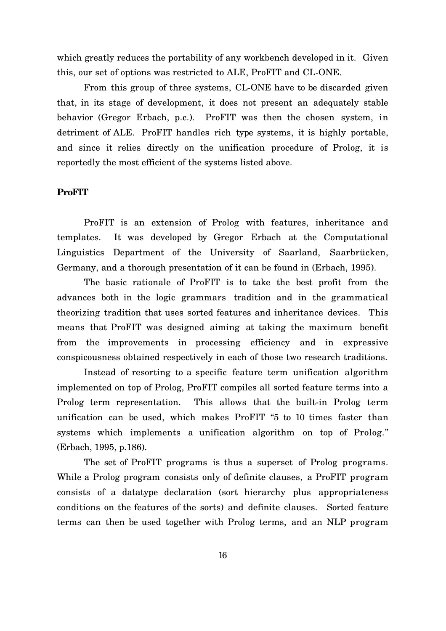which greatly reduces the portability of any workbench developed in it. Given this, our set of options was restricted to ALE, ProFIT and CL-ONE.

From this group of three systems, CL-ONE have to be discarded given that, in its stage of development, it does not present an adequately stable behavior (Gregor Erbach, p.c.). ProFIT was then the chosen system, in detriment of ALE. ProFIT handles rich type systems, it is highly portable, and since it relies directly on the unification procedure of Prolog, it is reportedly the most efficient of the systems listed above.

#### **ProFIT**

ProFIT is an extension of Prolog with features, inheritance and templates. It was developed by Gregor Erbach at the Computational Linguistics Department of the University of Saarland, Saarbrücken, Germany, and a thorough presentation of it can be found in (Erbach, 1995).

The basic rationale of ProFIT is to take the best profit from the advances both in the logic grammars tradition and in the grammatical theorizing tradition that uses sorted features and inheritance devices. This means that ProFIT was designed aiming at taking the maximum benefit from the improvements in processing efficiency and in expressive conspicousness obtained respectively in each of those two research traditions.

Instead of resorting to a specific feature term unification algorithm implemented on top of Prolog, ProFIT compiles all sorted feature terms into a Prolog term representation. This allows that the built-in Prolog term unification can be used, which makes ProFIT "5 to 10 times faster than systems which implements a unification algorithm on top of Prolog." (Erbach, 1995, p.186).

The set of ProFIT programs is thus a superset of Prolog programs. While a Prolog program consists only of definite clauses, a ProFIT program consists of a datatype declaration (sort hierarchy plus appropriateness conditions on the features of the sorts) and definite clauses. Sorted feature terms can then be used together with Prolog terms, and an NLP program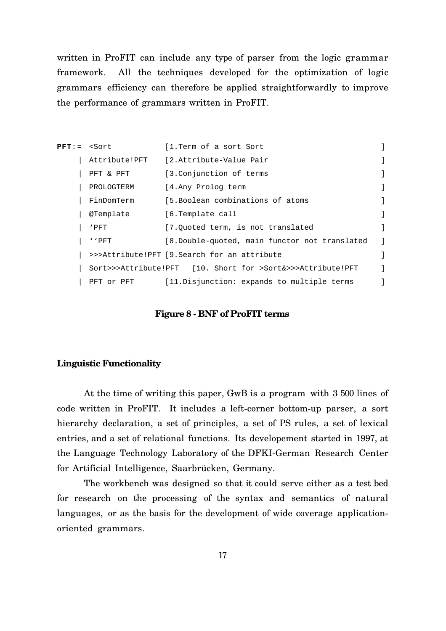written in ProFIT can include any type of parser from the logic grammar framework. All the techniques developed for the optimization of logic grammars efficiency can therefore be applied straightforwardly to improve the performance of grammars written in ProFIT.

| ${\tt PFT}$ : = | <sort< th=""><th>[1.Term of a sort Sort</th><th></th></sort<> | [1.Term of a sort Sort                                     |  |
|-----------------|---------------------------------------------------------------|------------------------------------------------------------|--|
|                 | Attribute!PFT                                                 | [2.Attribute-Value Pair                                    |  |
|                 | PFT & PFT                                                     | [3.Conjunction of terms                                    |  |
|                 | PROLOGTERM                                                    | [4.Any Prolog term                                         |  |
|                 | FinDomTerm                                                    | [5.Boolean combinations of atoms                           |  |
|                 | @Template                                                     | [6.Template call                                           |  |
|                 | 'PFT                                                          | [7.0uoted term, is not translated                          |  |
|                 | ' PFT                                                         | [8.Double-quoted, main functor not translated              |  |
|                 |                                                               | >>>Attribute!PFT [9. Search for an attribute               |  |
|                 |                                                               | Sort>>>Attribute!PFT [10. Short for >Sort&>>>Attribute!PFT |  |
|                 | PFT or PFT                                                    | [11. Disjunction: expands to multiple terms                |  |

#### **Figure 8 - BNF of ProFIT terms**

#### **Linguistic Functionality**

At the time of writing this paper, GwB is a program with 3 500 lines of code written in ProFIT. It includes a left-corner bottom-up parser, a sort hierarchy declaration, a set of principles, a set of PS rules, a set of lexical entries, and a set of relational functions. Its developement started in 1997, at the Language Technology Laboratory of the DFKI-German Research Center for Artificial Intelligence, Saarbrücken, Germany.

The workbench was designed so that it could serve either as a test bed for research on the processing of the syntax and semantics of natural languages, or as the basis for the development of wide coverage applicationoriented grammars.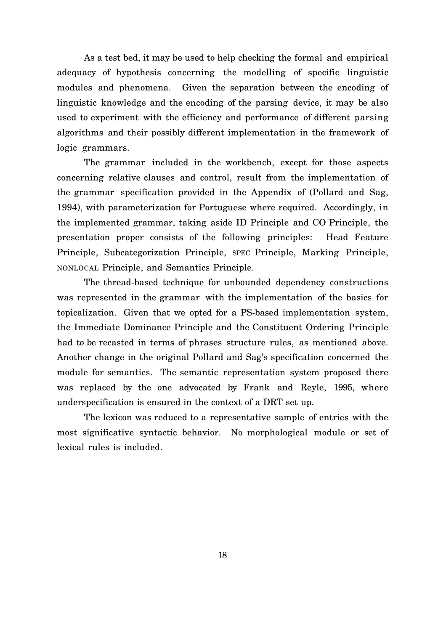As a test bed, it may be used to help checking the formal and empirical adequacy of hypothesis concerning the modelling of specific linguistic modules and phenomena. Given the separation between the encoding of linguistic knowledge and the encoding of the parsing device, it may be also used to experiment with the efficiency and performance of different parsing algorithms and their possibly different implementation in the framework of logic grammars.

The grammar included in the workbench, except for those aspects concerning relative clauses and control, result from the implementation of the grammar specification provided in the Appendix of (Pollard and Sag, 1994), with parameterization for Portuguese where required. Accordingly, in the implemented grammar, taking aside ID Principle and CO Principle, the presentation proper consists of the following principles: Head Feature Principle, Subcategorization Principle, SPEC Principle, Marking Principle, NONLOCAL Principle, and Semantics Principle.

The thread-based technique for unbounded dependency constructions was represented in the grammar with the implementation of the basics for topicalization. Given that we opted for a PS-based implementation system, the Immediate Dominance Principle and the Constituent Ordering Principle had to be recasted in terms of phrases structure rules, as mentioned above. Another change in the original Pollard and Sag's specification concerned the module for semantics. The semantic representation system proposed there was replaced by the one advocated by Frank and Reyle, 1995, where underspecification is ensured in the context of a DRT set up.

The lexicon was reduced to a representative sample of entries with the most significative syntactic behavior. No morphological module or set of lexical rules is included.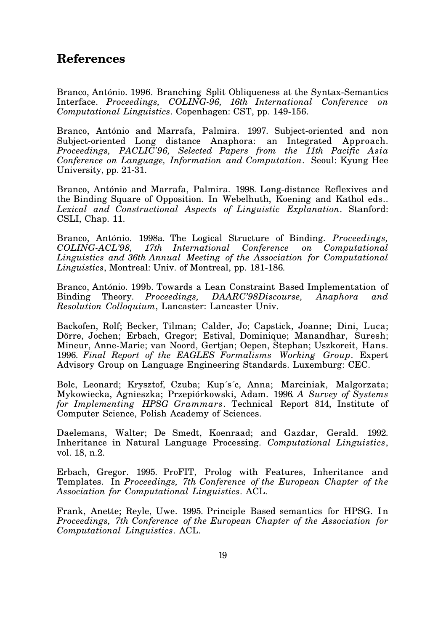## **References**

Branco, António. 1996. Branching Split Obliqueness at the Syntax-Semantics Interface. *Proceedings, COLING-96, 16th International Conference on Computational Linguistics*. Copenhagen: CST, pp. 149-156.

Branco, António and Marrafa, Palmira. 1997. Subject-oriented and non Subject-oriented Long distance Anaphora: an Integrated Approach. *Proceedings, PACLIC'96, Selected Papers from the 11th Pacific Asia Conference on Language, Information and Computation*. Seoul: Kyung Hee University, pp. 21-31.

Branco, António and Marrafa, Palmira. 1998. Long-distance Reflexives and the Binding Square of Opposition. In Webelhuth, Koening and Kathol eds.. *Lexical and Constructional Aspects of Linguistic Explanation*. Stanford: CSLI, Chap. 11.

Branco, António. 1998a. The Logical Structure of Binding. *Proceedings, COLING-ACL'98, 17th International Conference on Computational Linguistics and 36th Annual Meeting of the Association for Computational Linguistics*, Montreal: Univ. of Montreal, pp. 181-186*.*

Branco, António. 199b. Towards a Lean Constraint Based Implementation of Binding Theory. *Proceedings, DAARC'98Discourse, Anaphora and Resolution Colloquium*, Lancaster: Lancaster Univ.

Backofen, Rolf; Becker, Tilman; Calder, Jo; Capstick, Joanne; Dini, Luca; Dörre, Jochen; Erbach, Gregor; Estival, Dominique; Manandhar, Suresh; Mineur, Anne-Marie; van Noord, Gertjan; Oepen, Stephan; Uszkoreit, Hans. 1996. *Final Report of the EAGLES Formalisms Working Group*. Expert Advisory Group on Language Engineering Standards. Luxemburg: CEC.

Bolc, Leonard; Krysztof, Czuba; Kup´s´c, Anna; Marciniak, Malgorzata; Mykowiecka, Agnieszka; Przepiórkowski, Adam. 1996*. A Survey of Systems for Implementing HPSG Grammars*. Technical Report 814, Institute of Computer Science, Polish Academy of Sciences.

Daelemans, Walter; De Smedt, Koenraad; and Gazdar, Gerald. 1992. Inheritance in Natural Language Processing. *Computational Linguistics*, vol. 18, n.2.

Erbach, Gregor. 1995. ProFIT, Prolog with Features, Inheritance and Templates. In *Proceedings, 7th Conference of the European Chapter of the Association for Computational Linguistics*. ACL.

Frank, Anette; Reyle, Uwe. 1995. Principle Based semantics for HPSG. I n *Proceedings, 7th Conference of the European Chapter of the Association for Computational Linguistics*. ACL.